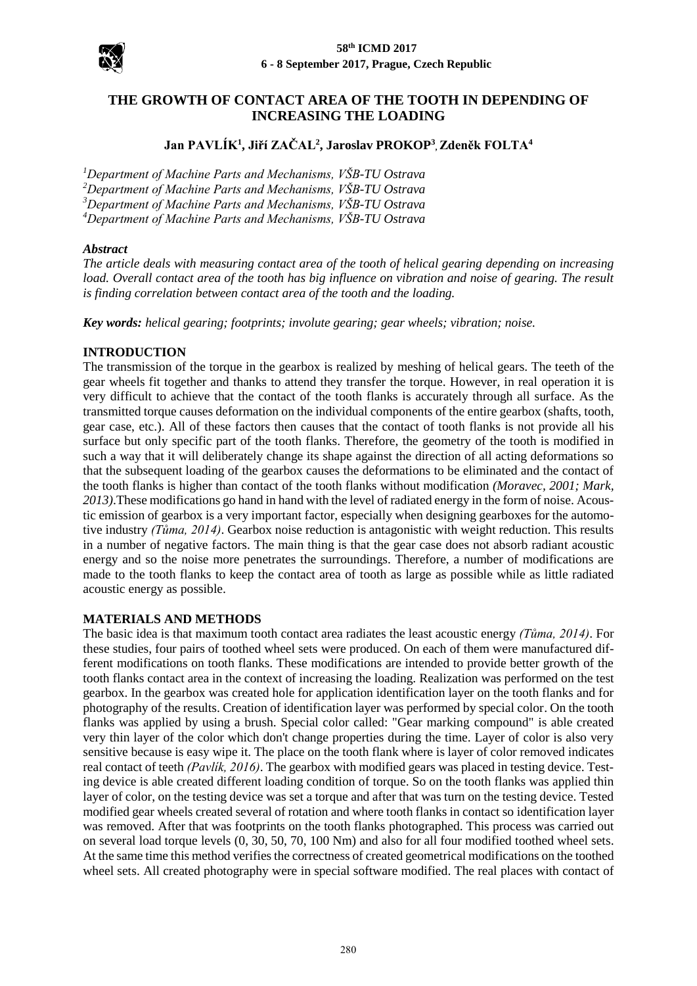

# **THE GROWTH OF CONTACT AREA OF THE TOOTH IN DEPENDING OF INCREASING THE LOADING**

## **Jan PAVLÍK<sup>1</sup> , Jiří ZAČAL<sup>2</sup> , Jaroslav PROKOP<sup>3</sup> , Zdeněk FOLTA<sup>4</sup>**

*Department of Machine Parts and Mechanisms, VŠB-TU Ostrava Department of Machine Parts and Mechanisms, VŠB-TU Ostrava Department of Machine Parts and Mechanisms, VŠB-TU Ostrava Department of Machine Parts and Mechanisms, VŠB-TU Ostrava*

#### *Abstract*

*The article deals with measuring contact area of the tooth of helical gearing depending on increasing load. Overall contact area of the tooth has big influence on vibration and noise of gearing. The result is finding correlation between contact area of the tooth and the loading.*

*Key words: helical gearing; footprints; involute gearing; gear wheels; vibration; noise.*

## **INTRODUCTION**

The transmission of the torque in the gearbox is realized by meshing of helical gears. The teeth of the gear wheels fit together and thanks to attend they transfer the torque. However, in real operation it is very difficult to achieve that the contact of the tooth flanks is accurately through all surface. As the transmitted torque causes deformation on the individual components of the entire gearbox (shafts, tooth, gear case, etc.). All of these factors then causes that the contact of tooth flanks is not provide all his surface but only specific part of the tooth flanks. Therefore, the geometry of the tooth is modified in such a way that it will deliberately change its shape against the direction of all acting deformations so that the subsequent loading of the gearbox causes the deformations to be eliminated and the contact of the tooth flanks is higher than contact of the tooth flanks without modification *(Moravec, 2001; Mark, 2013)*.These modifications go hand in hand with the level of radiated energy in the form of noise. Acoustic emission of gearbox is a very important factor, especially when designing gearboxes for the automotive industry *(Tůma, 2014)*. Gearbox noise reduction is antagonistic with weight reduction. This results in a number of negative factors. The main thing is that the gear case does not absorb radiant acoustic energy and so the noise more penetrates the surroundings. Therefore, a number of modifications are made to the tooth flanks to keep the contact area of tooth as large as possible while as little radiated acoustic energy as possible.

## **MATERIALS AND METHODS**

The basic idea is that maximum tooth contact area radiates the least acoustic energy *(Tůma, 2014)*. For these studies, four pairs of toothed wheel sets were produced. On each of them were manufactured different modifications on tooth flanks. These modifications are intended to provide better growth of the tooth flanks contact area in the context of increasing the loading. Realization was performed on the test gearbox. In the gearbox was created hole for application identification layer on the tooth flanks and for photography of the results. Creation of identification layer was performed by special color. On the tooth flanks was applied by using a brush. Special color called: "Gear marking compound" is able created very thin layer of the color which don't change properties during the time. Layer of color is also very sensitive because is easy wipe it. The place on the tooth flank where is layer of color removed indicates real contact of teeth *(Pavlík, 2016)*. The gearbox with modified gears was placed in testing device. Testing device is able created different loading condition of torque. So on the tooth flanks was applied thin layer of color, on the testing device was set a torque and after that was turn on the testing device. Tested modified gear wheels created several of rotation and where tooth flanks in contact so identification layer was removed. After that was footprints on the tooth flanks photographed. This process was carried out on several load torque levels (0, 30, 50, 70, 100 Nm) and also for all four modified toothed wheel sets. At the same time this method verifies the correctness of created geometrical modifications on the toothed wheel sets. All created photography were in special software modified. The real places with contact of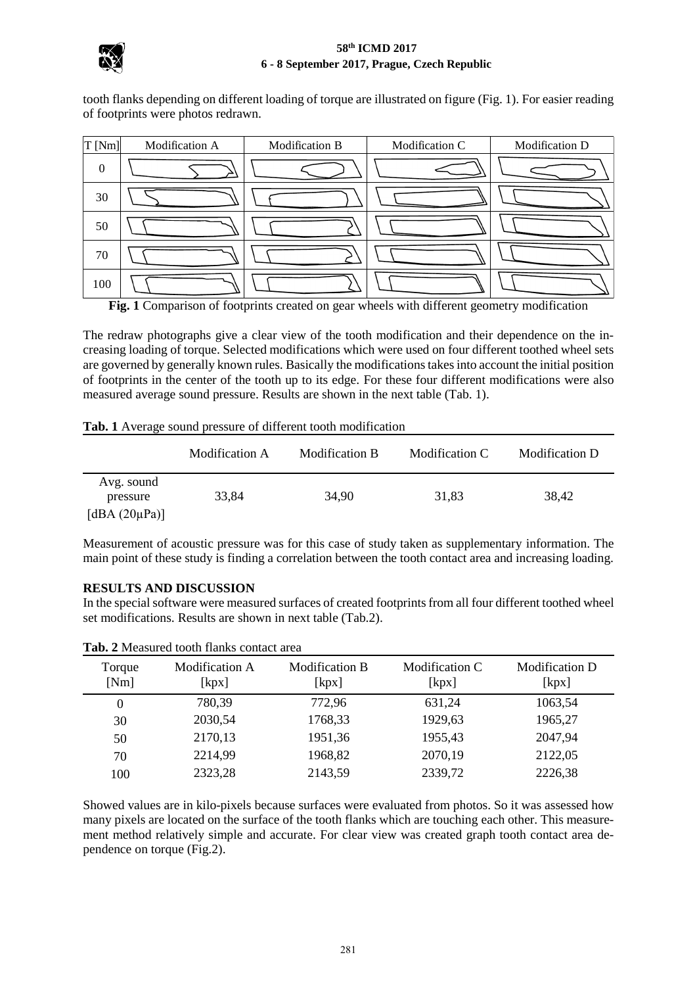

#### **58th ICMD 2017 6 - 8 September 2017, Prague, Czech Republic**

|                                                                                                                                                    | 6 - 8 September 2017, Prague, Czech Republic |                       |                |                |  |  |  |  |  |
|----------------------------------------------------------------------------------------------------------------------------------------------------|----------------------------------------------|-----------------------|----------------|----------------|--|--|--|--|--|
| tooth flanks depending on different loading of torque are illustrated on figure (Fig. 1). For easier reading<br>of footprints were photos redrawn. |                                              |                       |                |                |  |  |  |  |  |
| $T$ [Nm]                                                                                                                                           | Modification A                               | <b>Modification B</b> | Modification C | Modification D |  |  |  |  |  |
| $\overline{0}$                                                                                                                                     |                                              |                       |                |                |  |  |  |  |  |
| 30                                                                                                                                                 |                                              |                       |                |                |  |  |  |  |  |
| 50                                                                                                                                                 |                                              |                       |                |                |  |  |  |  |  |
| 70                                                                                                                                                 |                                              |                       |                |                |  |  |  |  |  |
| 100                                                                                                                                                |                                              |                       |                |                |  |  |  |  |  |

**Fig. 1** Comparison of footprints created on gear wheels with different geometry modification

The redraw photographs give a clear view of the tooth modification and their dependence on the increasing loading of torque. Selected modifications which were used on four different toothed wheel sets are governed by generally known rules. Basically the modifications takes into account the initial position of footprints in the center of the tooth up to its edge. For these four different modifications were also measured average sound pressure. Results are shown in the next table (Tab. 1).

|                                               | Modification A | Modification B | Modification C | Modification D |
|-----------------------------------------------|----------------|----------------|----------------|----------------|
| Avg. sound<br>pressure<br>[dBA $(20\mu Pa)$ ] | 33,84          | 34,90          | 31,83          | 38,42          |

Measurement of acoustic pressure was for this case of study taken as supplementary information. The main point of these study is finding a correlation between the tooth contact area and increasing loading.

## **RESULTS AND DISCUSSION**

In the special software were measured surfaces of created footprints from all four different toothed wheel set modifications. Results are shown in next table (Tab.2).

| Torque<br>[Nm] | <b>Modification A</b><br>[kpx] | <b>Modification B</b><br>[kpx] | Modification C<br>[kpx] | <b>Modification D</b><br>[kpx] |
|----------------|--------------------------------|--------------------------------|-------------------------|--------------------------------|
| $\theta$       | 780,39                         | 772,96                         | 631,24                  | 1063,54                        |
| 30             | 2030,54                        | 1768,33                        | 1929,63                 | 1965,27                        |
| 50             | 2170,13                        | 1951,36                        | 1955,43                 | 2047,94                        |
| 70             | 2214,99                        | 1968,82                        | 2070,19                 | 2122,05                        |
| 100            | 2323,28                        | 2143,59                        | 2339,72                 | 2226,38                        |

**Tab. 2** Measured tooth flanks contact area

Showed values are in kilo-pixels because surfaces were evaluated from photos. So it was assessed how many pixels are located on the surface of the tooth flanks which are touching each other. This measurement method relatively simple and accurate. For clear view was created graph tooth contact area dependence on torque (Fig.2).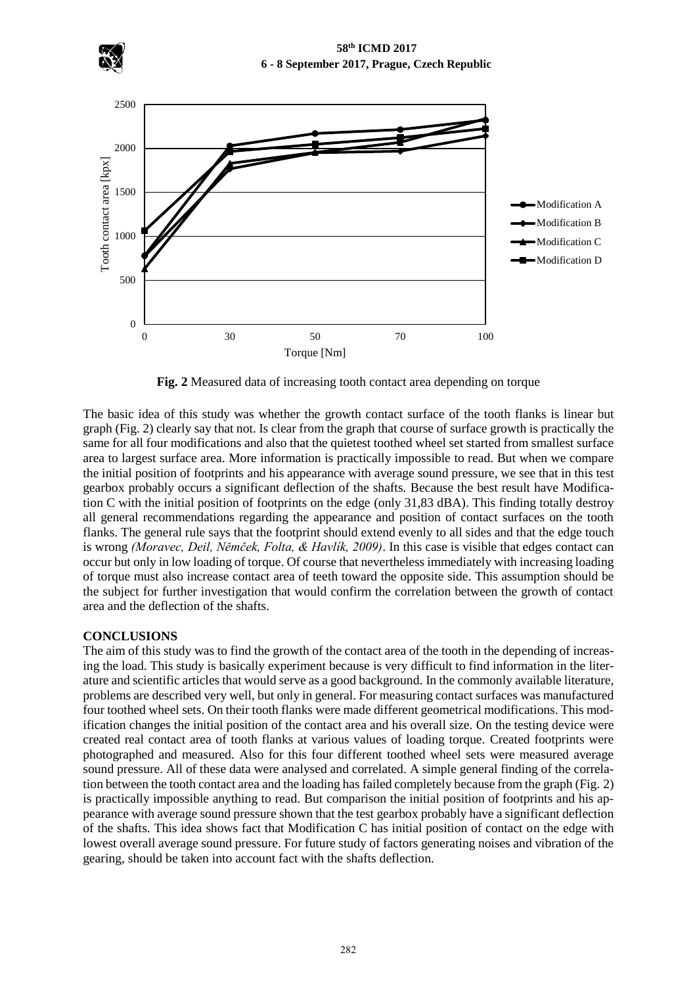



**Fig. 2** Measured data of increasing tooth contact area depending on torque

The basic idea of this study was whether the growth contact surface of the tooth flanks is linear but graph (Fig. 2) clearly say that not. Is clear from the graph that course of surface growth is practically the same for all four modifications and also that the quietest toothed wheel set started from smallest surface area to largest surface area. More information is practically impossible to read. But when we compare the initial position of footprints and his appearance with average sound pressure, we see that in this test gearbox probably occurs a significant deflection of the shafts. Because the best result have Modification C with the initial position of footprints on the edge (only 31,83 dBA). This finding totally destroy all general recommendations regarding the appearance and position of contact surfaces on the tooth flanks. The general rule says that the footprint should extend evenly to all sides and that the edge touch is wrong *(Moravec, Deil, Němček, Folta, & Havlík, 2009)*. In this case is visible that edges contact can occur but only in low loading of torque. Of course that nevertheless immediately with increasing loading of torque must also increase contact area of teeth toward the opposite side. This assumption should be the subject for further investigation that would confirm the correlation between the growth of contact area and the deflection of the shafts.

## **CONCLUSIONS**

The aim of this study was to find the growth of the contact area of the tooth in the depending of increasing the load. This study is basically experiment because is very difficult to find information in the literature and scientific articles that would serve as a good background. In the commonly available literature, problems are described very well, but only in general. For measuring contact surfaces was manufactured four toothed wheel sets. On their tooth flanks were made different geometrical modifications. This modification changes the initial position of the contact area and his overall size. On the testing device were created real contact area of tooth flanks at various values of loading torque. Created footprints were photographed and measured. Also for this four different toothed wheel sets were measured average sound pressure. All of these data were analysed and correlated. A simple general finding of the correlation between the tooth contact area and the loading has failed completely because from the graph (Fig. 2) is practically impossible anything to read. But comparison the initial position of footprints and his appearance with average sound pressure shown that the test gearbox probably have a significant deflection of the shafts. This idea shows fact that Modification C has initial position of contact on the edge with lowest overall average sound pressure. For future study of factors generating noises and vibration of the gearing, should be taken into account fact with the shafts deflection.